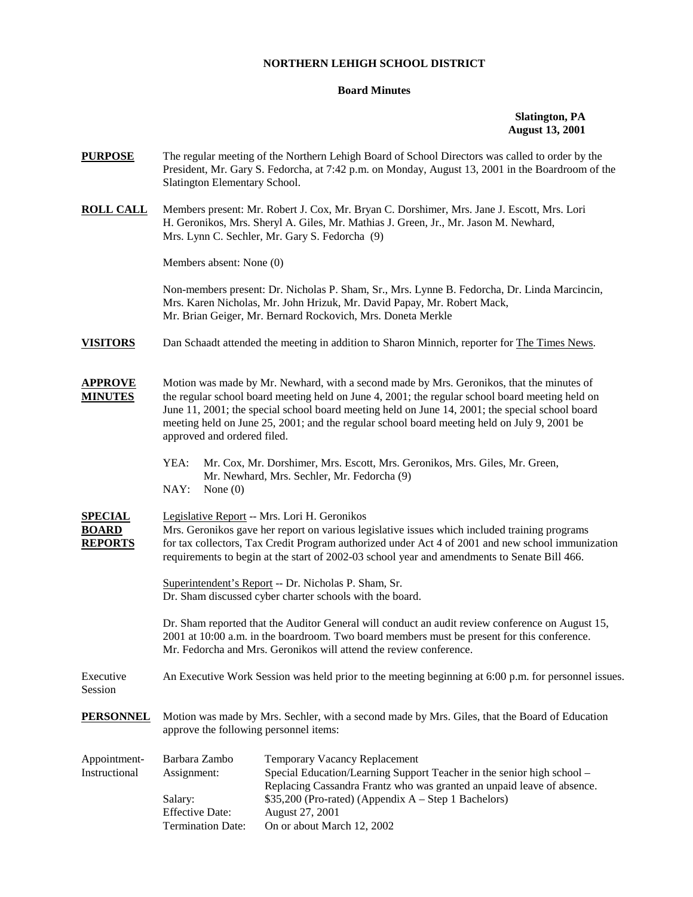## **NORTHERN LEHIGH SCHOOL DISTRICT**

## **Board Minutes**

## **Slatington, PA August 13, 2001**

|                                                                                                                                                                                                                                                                                                                                                    | The regular meeting of the Northern Lehigh Board of School Directors was called to order by the<br>President, Mr. Gary S. Fedorcha, at 7:42 p.m. on Monday, August 13, 2001 in the Boardroom of the                                                                                                                                                                                            |  |
|----------------------------------------------------------------------------------------------------------------------------------------------------------------------------------------------------------------------------------------------------------------------------------------------------------------------------------------------------|------------------------------------------------------------------------------------------------------------------------------------------------------------------------------------------------------------------------------------------------------------------------------------------------------------------------------------------------------------------------------------------------|--|
|                                                                                                                                                                                                                                                                                                                                                    | Members present: Mr. Robert J. Cox, Mr. Bryan C. Dorshimer, Mrs. Jane J. Escott, Mrs. Lori<br>H. Geronikos, Mrs. Sheryl A. Giles, Mr. Mathias J. Green, Jr., Mr. Jason M. Newhard,<br>Mrs. Lynn C. Sechler, Mr. Gary S. Fedorcha (9)                                                                                                                                                           |  |
|                                                                                                                                                                                                                                                                                                                                                    |                                                                                                                                                                                                                                                                                                                                                                                                |  |
|                                                                                                                                                                                                                                                                                                                                                    | Non-members present: Dr. Nicholas P. Sham, Sr., Mrs. Lynne B. Fedorcha, Dr. Linda Marcincin,<br>Mrs. Karen Nicholas, Mr. John Hrizuk, Mr. David Papay, Mr. Robert Mack,<br>Mr. Brian Geiger, Mr. Bernard Rockovich, Mrs. Doneta Merkle                                                                                                                                                         |  |
|                                                                                                                                                                                                                                                                                                                                                    | Dan Schaadt attended the meeting in addition to Sharon Minnich, reporter for The Times News.                                                                                                                                                                                                                                                                                                   |  |
|                                                                                                                                                                                                                                                                                                                                                    | Motion was made by Mr. Newhard, with a second made by Mrs. Geronikos, that the minutes of<br>the regular school board meeting held on June 4, 2001; the regular school board meeting held on<br>June 11, 2001; the special school board meeting held on June 14, 2001; the special school board<br>meeting held on June 25, 2001; and the regular school board meeting held on July 9, 2001 be |  |
| YEA:<br>NAY:<br>None $(0)$                                                                                                                                                                                                                                                                                                                         | Mr. Cox, Mr. Dorshimer, Mrs. Escott, Mrs. Geronikos, Mrs. Giles, Mr. Green,<br>Mr. Newhard, Mrs. Sechler, Mr. Fedorcha (9)                                                                                                                                                                                                                                                                     |  |
| Legislative Report -- Mrs. Lori H. Geronikos<br>Mrs. Geronikos gave her report on various legislative issues which included training programs<br>for tax collectors, Tax Credit Program authorized under Act 4 of 2001 and new school immunization<br>requirements to begin at the start of 2002-03 school year and amendments to Senate Bill 466. |                                                                                                                                                                                                                                                                                                                                                                                                |  |
| Superintendent's Report -- Dr. Nicholas P. Sham, Sr.<br>Dr. Sham discussed cyber charter schools with the board.                                                                                                                                                                                                                                   |                                                                                                                                                                                                                                                                                                                                                                                                |  |
| Dr. Sham reported that the Auditor General will conduct an audit review conference on August 15,<br>2001 at 10:00 a.m. in the boardroom. Two board members must be present for this conference.<br>Mr. Fedorcha and Mrs. Geronikos will attend the review conference.                                                                              |                                                                                                                                                                                                                                                                                                                                                                                                |  |
| An Executive Work Session was held prior to the meeting beginning at 6:00 p.m. for personnel issues.                                                                                                                                                                                                                                               |                                                                                                                                                                                                                                                                                                                                                                                                |  |
| Motion was made by Mrs. Sechler, with a second made by Mrs. Giles, that the Board of Education<br>approve the following personnel items:                                                                                                                                                                                                           |                                                                                                                                                                                                                                                                                                                                                                                                |  |
| Barbara Zambo<br>Assignment:<br>Salary:<br><b>Effective Date:</b><br><b>Termination Date:</b>                                                                                                                                                                                                                                                      | Temporary Vacancy Replacement<br>Special Education/Learning Support Teacher in the senior high school -<br>Replacing Cassandra Frantz who was granted an unpaid leave of absence.<br>\$35,200 (Pro-rated) (Appendix A – Step 1 Bachelors)<br>August 27, 2001<br>On or about March 12, 2002                                                                                                     |  |
|                                                                                                                                                                                                                                                                                                                                                    | Slatington Elementary School.<br>Members absent: None (0)<br>approved and ordered filed.                                                                                                                                                                                                                                                                                                       |  |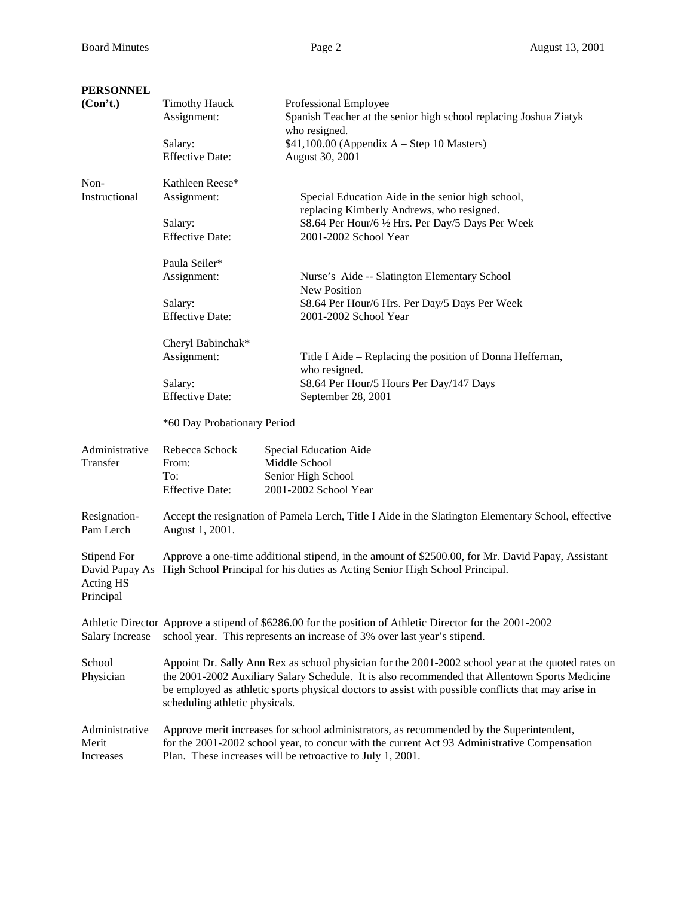| <b>PERSONNEL</b>                                        |                                                                                                                                                                                                                                                                                                                                               |                                                                                                                                                                                          |  |
|---------------------------------------------------------|-----------------------------------------------------------------------------------------------------------------------------------------------------------------------------------------------------------------------------------------------------------------------------------------------------------------------------------------------|------------------------------------------------------------------------------------------------------------------------------------------------------------------------------------------|--|
| (Con't.)                                                | <b>Timothy Hauck</b><br>Assignment:                                                                                                                                                                                                                                                                                                           | Professional Employee<br>Spanish Teacher at the senior high school replacing Joshua Ziatyk<br>who resigned.                                                                              |  |
|                                                         | Salary:<br><b>Effective Date:</b>                                                                                                                                                                                                                                                                                                             | $$41,100.00$ (Appendix A – Step 10 Masters)<br>August 30, 2001                                                                                                                           |  |
| Non-                                                    | Kathleen Reese*                                                                                                                                                                                                                                                                                                                               |                                                                                                                                                                                          |  |
| Instructional                                           | Assignment:                                                                                                                                                                                                                                                                                                                                   | Special Education Aide in the senior high school,<br>replacing Kimberly Andrews, who resigned.                                                                                           |  |
|                                                         | Salary:<br><b>Effective Date:</b>                                                                                                                                                                                                                                                                                                             | \$8.64 Per Hour/6 1/2 Hrs. Per Day/5 Days Per Week<br>2001-2002 School Year                                                                                                              |  |
|                                                         | Paula Seiler*                                                                                                                                                                                                                                                                                                                                 |                                                                                                                                                                                          |  |
|                                                         | Assignment:                                                                                                                                                                                                                                                                                                                                   | Nurse's Aide -- Slatington Elementary School<br><b>New Position</b>                                                                                                                      |  |
|                                                         | Salary:                                                                                                                                                                                                                                                                                                                                       | \$8.64 Per Hour/6 Hrs. Per Day/5 Days Per Week                                                                                                                                           |  |
|                                                         | <b>Effective Date:</b>                                                                                                                                                                                                                                                                                                                        | 2001-2002 School Year                                                                                                                                                                    |  |
|                                                         | Cheryl Babinchak*                                                                                                                                                                                                                                                                                                                             |                                                                                                                                                                                          |  |
|                                                         | Assignment:                                                                                                                                                                                                                                                                                                                                   | Title I Aide – Replacing the position of Donna Heffernan,                                                                                                                                |  |
|                                                         | Salary:                                                                                                                                                                                                                                                                                                                                       | who resigned.<br>\$8.64 Per Hour/5 Hours Per Day/147 Days                                                                                                                                |  |
|                                                         | <b>Effective Date:</b>                                                                                                                                                                                                                                                                                                                        | September 28, 2001                                                                                                                                                                       |  |
|                                                         | *60 Day Probationary Period                                                                                                                                                                                                                                                                                                                   |                                                                                                                                                                                          |  |
| Administrative                                          | Rebecca Schock                                                                                                                                                                                                                                                                                                                                | Special Education Aide                                                                                                                                                                   |  |
| Transfer                                                | From:                                                                                                                                                                                                                                                                                                                                         | Middle School                                                                                                                                                                            |  |
|                                                         | To:<br><b>Effective Date:</b>                                                                                                                                                                                                                                                                                                                 | Senior High School<br>2001-2002 School Year                                                                                                                                              |  |
| Resignation-<br>Pam Lerch                               | August 1, 2001.                                                                                                                                                                                                                                                                                                                               | Accept the resignation of Pamela Lerch, Title I Aide in the Slatington Elementary School, effective                                                                                      |  |
| Stipend For<br>David Papay As<br>Acting HS<br>Principal | Approve a one-time additional stipend, in the amount of \$2500.00, for Mr. David Papay, Assistant<br>High School Principal for his duties as Acting Senior High School Principal.                                                                                                                                                             |                                                                                                                                                                                          |  |
| <b>Salary Increase</b>                                  |                                                                                                                                                                                                                                                                                                                                               | Athletic Director Approve a stipend of \$6286.00 for the position of Athletic Director for the 2001-2002<br>school year. This represents an increase of 3% over last year's stipend.     |  |
| School<br>Physician                                     | Appoint Dr. Sally Ann Rex as school physician for the 2001-2002 school year at the quoted rates on<br>the 2001-2002 Auxiliary Salary Schedule. It is also recommended that Allentown Sports Medicine<br>be employed as athletic sports physical doctors to assist with possible conflicts that may arise in<br>scheduling athletic physicals. |                                                                                                                                                                                          |  |
| Administrative<br>Merit                                 |                                                                                                                                                                                                                                                                                                                                               | Approve merit increases for school administrators, as recommended by the Superintendent,<br>for the 2001-2002 school year, to concur with the current Act 93 Administrative Compensation |  |
| Increases                                               |                                                                                                                                                                                                                                                                                                                                               | Plan. These increases will be retroactive to July 1, 2001.                                                                                                                               |  |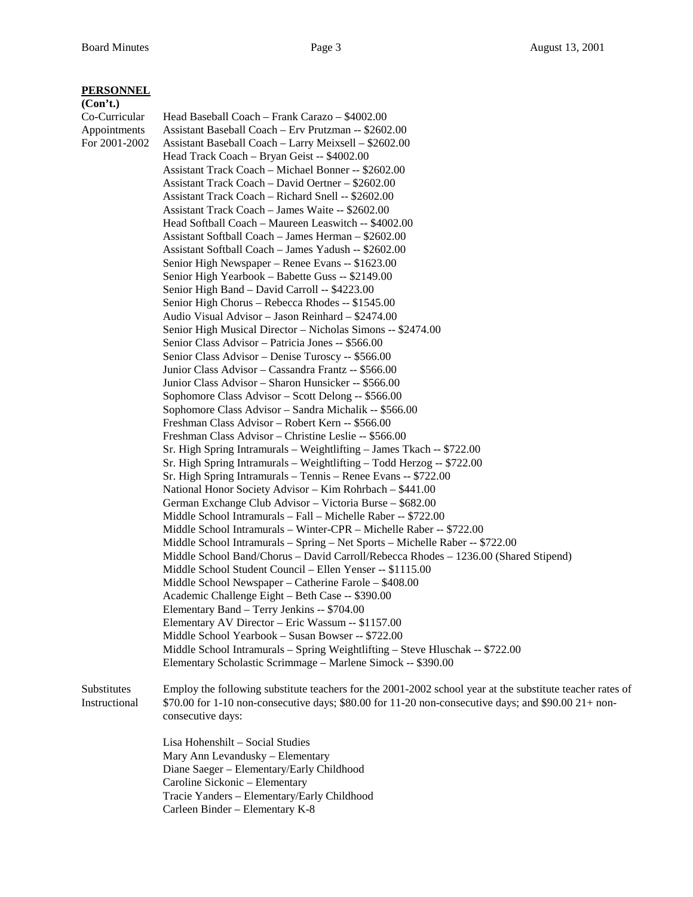## **PERSONNEL**

**(Con't.)** Co-Curricular Head Baseball Coach – Frank Carazo – \$4002.00 Appointments Assistant Baseball Coach – Erv Prutzman -- \$2602.00 For 2001-2002 Assistant Baseball Coach – Larry Meixsell – \$2602.00 Head Track Coach – Bryan Geist -- \$4002.00 Assistant Track Coach – Michael Bonner -- \$2602.00 Assistant Track Coach – David Oertner – \$2602.00 Assistant Track Coach – Richard Snell -- \$2602.00 Assistant Track Coach – James Waite -- \$2602.00 Head Softball Coach – Maureen Leaswitch -- \$4002.00 Assistant Softball Coach – James Herman – \$2602.00 Assistant Softball Coach – James Yadush -- \$2602.00 Senior High Newspaper – Renee Evans -- \$1623.00 Senior High Yearbook – Babette Guss -- \$2149.00 Senior High Band – David Carroll -- \$4223.00 Senior High Chorus – Rebecca Rhodes -- \$1545.00 Audio Visual Advisor – Jason Reinhard – \$2474.00 Senior High Musical Director – Nicholas Simons -- \$2474.00 Senior Class Advisor – Patricia Jones -- \$566.00 Senior Class Advisor – Denise Turoscy -- \$566.00 Junior Class Advisor – Cassandra Frantz -- \$566.00 Junior Class Advisor – Sharon Hunsicker -- \$566.00 Sophomore Class Advisor – Scott Delong -- \$566.00 Sophomore Class Advisor – Sandra Michalik -- \$566.00 Freshman Class Advisor – Robert Kern -- \$566.00 Freshman Class Advisor – Christine Leslie -- \$566.00 Sr. High Spring Intramurals – Weightlifting – James Tkach -- \$722.00 Sr. High Spring Intramurals – Weightlifting – Todd Herzog -- \$722.00 Sr. High Spring Intramurals – Tennis – Renee Evans -- \$722.00 National Honor Society Advisor – Kim Rohrbach – \$441.00 German Exchange Club Advisor – Victoria Burse – \$682.00 Middle School Intramurals – Fall – Michelle Raber -- \$722.00 Middle School Intramurals – Winter-CPR – Michelle Raber -- \$722.00 Middle School Intramurals – Spring – Net Sports – Michelle Raber -- \$722.00 Middle School Band/Chorus – David Carroll/Rebecca Rhodes – 1236.00 (Shared Stipend) Middle School Student Council – Ellen Yenser -- \$1115.00 Middle School Newspaper – Catherine Farole – \$408.00 Academic Challenge Eight – Beth Case -- \$390.00 Elementary Band – Terry Jenkins -- \$704.00 Elementary AV Director – Eric Wassum -- \$1157.00 Middle School Yearbook – Susan Bowser -- \$722.00 Middle School Intramurals – Spring Weightlifting – Steve Hluschak -- \$722.00 Elementary Scholastic Scrimmage – Marlene Simock -- \$390.00 Substitutes Employ the following substitute teachers for the 2001-2002 school year at the substitute teacher rates of Instructional \$70.00 for 1-10 non-consecutive days; \$80.00 for 11-20 non-consecutive days; and \$90.00 21+ non consecutive days: Lisa Hohenshilt – Social Studies Mary Ann Levandusky – Elementary Diane Saeger – Elementary/Early Childhood Caroline Sickonic – Elementary Tracie Yanders – Elementary/Early Childhood Carleen Binder – Elementary K-8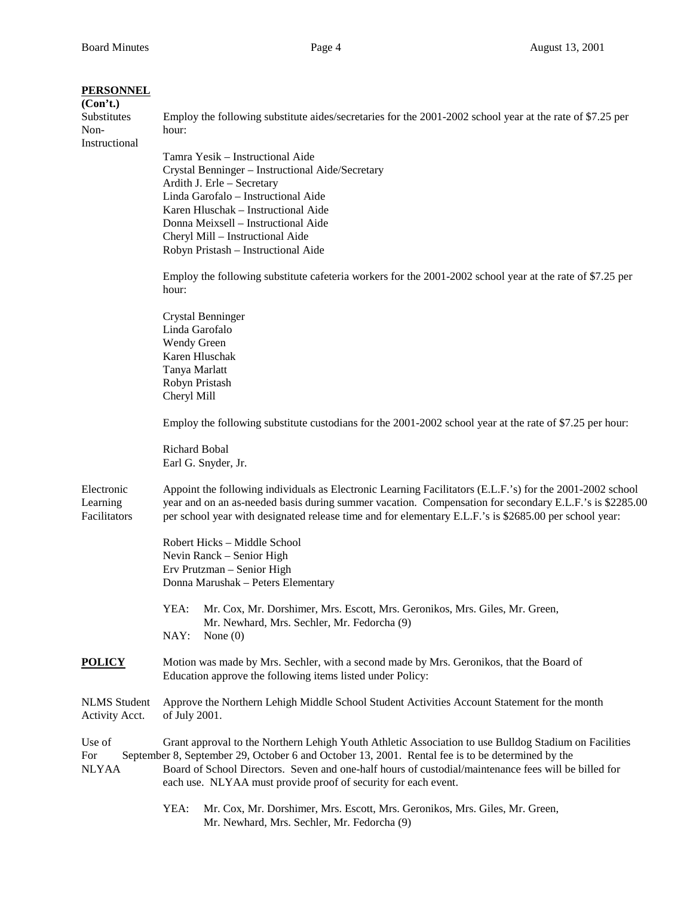| <b>PERSONNEL</b><br>(Con't.)           |                                                                                                                                                                                                                                                                                                                                                                                     |  |  |
|----------------------------------------|-------------------------------------------------------------------------------------------------------------------------------------------------------------------------------------------------------------------------------------------------------------------------------------------------------------------------------------------------------------------------------------|--|--|
| Substitutes<br>Non-<br>Instructional   | Employ the following substitute aides/secretaries for the 2001-2002 school year at the rate of \$7.25 per<br>hour:                                                                                                                                                                                                                                                                  |  |  |
|                                        | Tamra Yesik - Instructional Aide                                                                                                                                                                                                                                                                                                                                                    |  |  |
|                                        | Crystal Benninger - Instructional Aide/Secretary                                                                                                                                                                                                                                                                                                                                    |  |  |
|                                        | Ardith J. Erle - Secretary                                                                                                                                                                                                                                                                                                                                                          |  |  |
|                                        | Linda Garofalo - Instructional Aide                                                                                                                                                                                                                                                                                                                                                 |  |  |
|                                        | Karen Hluschak - Instructional Aide                                                                                                                                                                                                                                                                                                                                                 |  |  |
|                                        | Donna Meixsell - Instructional Aide                                                                                                                                                                                                                                                                                                                                                 |  |  |
|                                        | Cheryl Mill - Instructional Aide                                                                                                                                                                                                                                                                                                                                                    |  |  |
|                                        | Robyn Pristash - Instructional Aide                                                                                                                                                                                                                                                                                                                                                 |  |  |
|                                        | Employ the following substitute cafeteria workers for the 2001-2002 school year at the rate of \$7.25 per<br>hour:                                                                                                                                                                                                                                                                  |  |  |
|                                        | <b>Crystal Benninger</b>                                                                                                                                                                                                                                                                                                                                                            |  |  |
|                                        | Linda Garofalo                                                                                                                                                                                                                                                                                                                                                                      |  |  |
|                                        | Wendy Green                                                                                                                                                                                                                                                                                                                                                                         |  |  |
|                                        | Karen Hluschak                                                                                                                                                                                                                                                                                                                                                                      |  |  |
|                                        | Tanya Marlatt                                                                                                                                                                                                                                                                                                                                                                       |  |  |
|                                        | Robyn Pristash                                                                                                                                                                                                                                                                                                                                                                      |  |  |
|                                        | Cheryl Mill                                                                                                                                                                                                                                                                                                                                                                         |  |  |
|                                        | Employ the following substitute custodians for the 2001-2002 school year at the rate of \$7.25 per hour:                                                                                                                                                                                                                                                                            |  |  |
|                                        | Richard Bobal<br>Earl G. Snyder, Jr.                                                                                                                                                                                                                                                                                                                                                |  |  |
| Electronic<br>Learning<br>Facilitators | Appoint the following individuals as Electronic Learning Facilitators (E.L.F.'s) for the 2001-2002 school<br>year and on an as-needed basis during summer vacation. Compensation for secondary E.L.F.'s is \$2285.00<br>per school year with designated release time and for elementary E.L.F.'s is \$2685.00 per school year:                                                      |  |  |
|                                        | Robert Hicks – Middle School                                                                                                                                                                                                                                                                                                                                                        |  |  |
|                                        | Nevin Ranck - Senior High                                                                                                                                                                                                                                                                                                                                                           |  |  |
|                                        | Erv Prutzman - Senior High                                                                                                                                                                                                                                                                                                                                                          |  |  |
|                                        | Donna Marushak - Peters Elementary                                                                                                                                                                                                                                                                                                                                                  |  |  |
|                                        | YEA:<br>Mr. Cox, Mr. Dorshimer, Mrs. Escott, Mrs. Geronikos, Mrs. Giles, Mr. Green,<br>Mr. Newhard, Mrs. Sechler, Mr. Fedorcha (9)                                                                                                                                                                                                                                                  |  |  |
|                                        | NAY:<br>None $(0)$                                                                                                                                                                                                                                                                                                                                                                  |  |  |
| <b>POLICY</b>                          | Motion was made by Mrs. Sechler, with a second made by Mrs. Geronikos, that the Board of<br>Education approve the following items listed under Policy:                                                                                                                                                                                                                              |  |  |
| <b>NLMS</b> Student<br>Activity Acct.  | Approve the Northern Lehigh Middle School Student Activities Account Statement for the month<br>of July 2001.                                                                                                                                                                                                                                                                       |  |  |
| Use of<br>For<br><b>NLYAA</b>          | Grant approval to the Northern Lehigh Youth Athletic Association to use Bulldog Stadium on Facilities<br>September 8, September 29, October 6 and October 13, 2001. Rental fee is to be determined by the<br>Board of School Directors. Seven and one-half hours of custodial/maintenance fees will be billed for<br>each use. NLYAA must provide proof of security for each event. |  |  |
|                                        | YEA:<br>Mr. Cox, Mr. Dorshimer, Mrs. Escott, Mrs. Geronikos, Mrs. Giles, Mr. Green,<br>Mr. Newhard, Mrs. Sechler, Mr. Fedorcha (9)                                                                                                                                                                                                                                                  |  |  |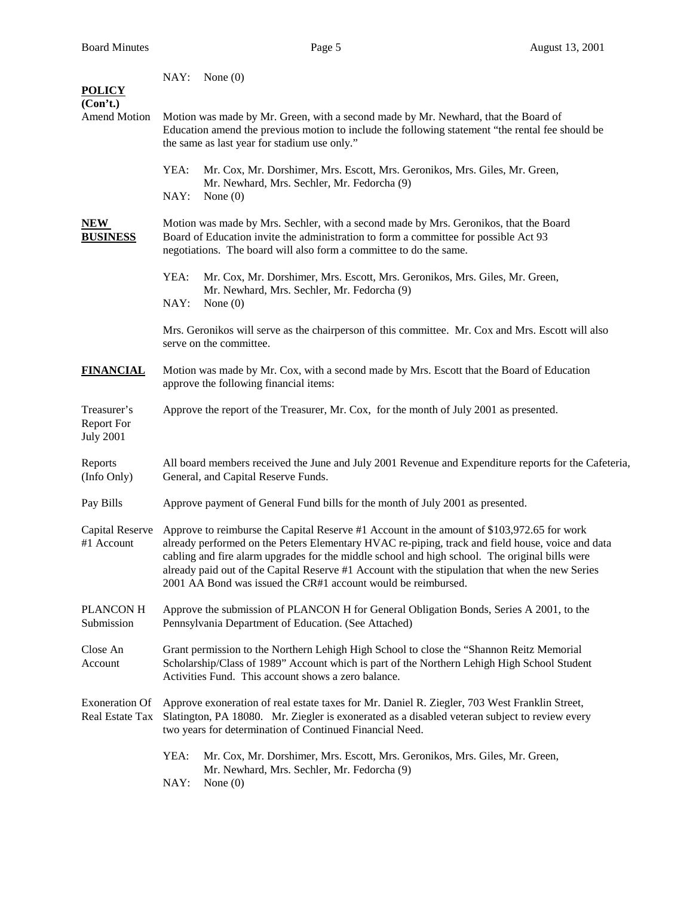| <b>POLICY</b>                                        | NAY: None(0)                                                                                                                                                                                                                                                                                                                                                                                                                                                          |  |  |  |
|------------------------------------------------------|-----------------------------------------------------------------------------------------------------------------------------------------------------------------------------------------------------------------------------------------------------------------------------------------------------------------------------------------------------------------------------------------------------------------------------------------------------------------------|--|--|--|
| (Con't.)<br><b>Amend Motion</b>                      | Motion was made by Mr. Green, with a second made by Mr. Newhard, that the Board of<br>Education amend the previous motion to include the following statement "the rental fee should be<br>the same as last year for stadium use only."                                                                                                                                                                                                                                |  |  |  |
|                                                      | YEA:<br>Mr. Cox, Mr. Dorshimer, Mrs. Escott, Mrs. Geronikos, Mrs. Giles, Mr. Green,<br>Mr. Newhard, Mrs. Sechler, Mr. Fedorcha (9)                                                                                                                                                                                                                                                                                                                                    |  |  |  |
|                                                      | NAY:<br>None $(0)$                                                                                                                                                                                                                                                                                                                                                                                                                                                    |  |  |  |
| <b>NEW</b><br><b>BUSINESS</b>                        | Motion was made by Mrs. Sechler, with a second made by Mrs. Geronikos, that the Board<br>Board of Education invite the administration to form a committee for possible Act 93<br>negotiations. The board will also form a committee to do the same.                                                                                                                                                                                                                   |  |  |  |
|                                                      | YEA:<br>Mr. Cox, Mr. Dorshimer, Mrs. Escott, Mrs. Geronikos, Mrs. Giles, Mr. Green,<br>Mr. Newhard, Mrs. Sechler, Mr. Fedorcha (9)                                                                                                                                                                                                                                                                                                                                    |  |  |  |
|                                                      | NAY:<br>None $(0)$                                                                                                                                                                                                                                                                                                                                                                                                                                                    |  |  |  |
|                                                      | Mrs. Geronikos will serve as the chairperson of this committee. Mr. Cox and Mrs. Escott will also<br>serve on the committee.                                                                                                                                                                                                                                                                                                                                          |  |  |  |
| <b>FINANCIAL</b>                                     | Motion was made by Mr. Cox, with a second made by Mrs. Escott that the Board of Education<br>approve the following financial items:                                                                                                                                                                                                                                                                                                                                   |  |  |  |
| Treasurer's<br><b>Report For</b><br><b>July 2001</b> | Approve the report of the Treasurer, Mr. Cox, for the month of July 2001 as presented.                                                                                                                                                                                                                                                                                                                                                                                |  |  |  |
| Reports<br>(Info Only)                               | All board members received the June and July 2001 Revenue and Expenditure reports for the Cafeteria,<br>General, and Capital Reserve Funds.                                                                                                                                                                                                                                                                                                                           |  |  |  |
| Pay Bills                                            | Approve payment of General Fund bills for the month of July 2001 as presented.                                                                                                                                                                                                                                                                                                                                                                                        |  |  |  |
| Capital Reserve<br>#1 Account                        | Approve to reimburse the Capital Reserve #1 Account in the amount of \$103,972.65 for work<br>already performed on the Peters Elementary HVAC re-piping, track and field house, voice and data<br>cabling and fire alarm upgrades for the middle school and high school. The original bills were<br>already paid out of the Capital Reserve #1 Account with the stipulation that when the new Series<br>2001 AA Bond was issued the CR#1 account would be reimbursed. |  |  |  |
| PLANCON H<br>Submission                              | Approve the submission of PLANCON H for General Obligation Bonds, Series A 2001, to the<br>Pennsylvania Department of Education. (See Attached)                                                                                                                                                                                                                                                                                                                       |  |  |  |
| Close An<br>Account                                  | Grant permission to the Northern Lehigh High School to close the "Shannon Reitz Memorial<br>Scholarship/Class of 1989" Account which is part of the Northern Lehigh High School Student<br>Activities Fund. This account shows a zero balance.                                                                                                                                                                                                                        |  |  |  |
| <b>Exoneration Of</b><br>Real Estate Tax             | Approve exoneration of real estate taxes for Mr. Daniel R. Ziegler, 703 West Franklin Street,<br>Slatington, PA 18080. Mr. Ziegler is exonerated as a disabled veteran subject to review every<br>two years for determination of Continued Financial Need.                                                                                                                                                                                                            |  |  |  |
|                                                      | YEA:<br>Mr. Cox, Mr. Dorshimer, Mrs. Escott, Mrs. Geronikos, Mrs. Giles, Mr. Green,<br>Mr. Newhard, Mrs. Sechler, Mr. Fedorcha (9)<br>NAY:<br>None $(0)$                                                                                                                                                                                                                                                                                                              |  |  |  |
|                                                      |                                                                                                                                                                                                                                                                                                                                                                                                                                                                       |  |  |  |